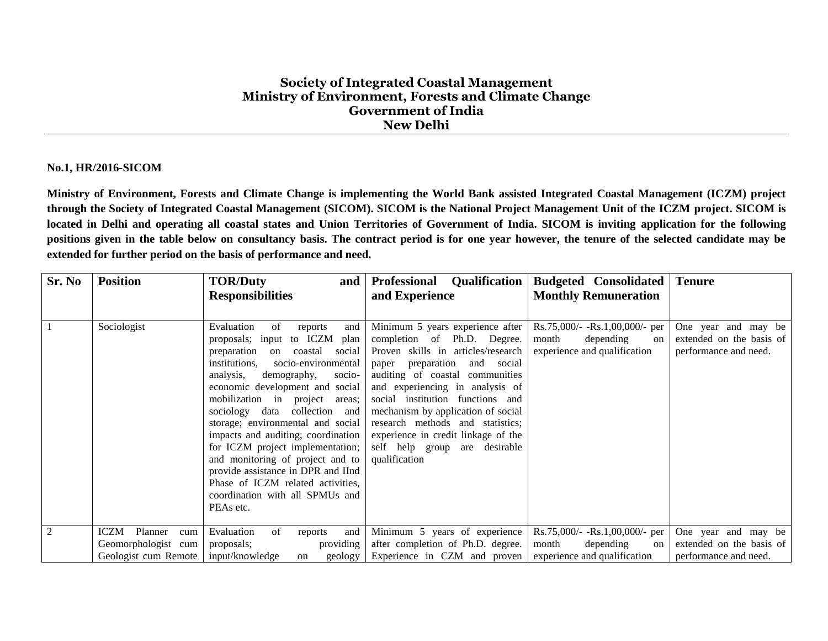## **Society of Integrated Coastal Management Ministry of Environment, Forests and Climate Change Government of India New Delhi**

## **No.1, HR/2016-SICOM**

**Ministry of Environment, Forests and Climate Change is implementing the World Bank assisted Integrated Coastal Management (ICZM) project through the Society of Integrated Coastal Management (SICOM). SICOM is the National Project Management Unit of the ICZM project. SICOM is located in Delhi and operating all coastal states and Union Territories of Government of India. SICOM is inviting application for the following positions given in the table below on consultancy basis. The contract period is for one year however, the tenure of the selected candidate may be extended for further period on the basis of performance and need.**

| Sr. No         | <b>Position</b>        | <b>TOR/Duty</b><br>and                                                                                                                                                                                                                                                                                                                                                                                                                                                                                                                                                       | <b>Professional Qualification</b>                                                                                                                                                                                                                                                                                                                                                                                     | <b>Budgeted Consolidated</b>                                                                 | <b>Tenure</b>                                                            |
|----------------|------------------------|------------------------------------------------------------------------------------------------------------------------------------------------------------------------------------------------------------------------------------------------------------------------------------------------------------------------------------------------------------------------------------------------------------------------------------------------------------------------------------------------------------------------------------------------------------------------------|-----------------------------------------------------------------------------------------------------------------------------------------------------------------------------------------------------------------------------------------------------------------------------------------------------------------------------------------------------------------------------------------------------------------------|----------------------------------------------------------------------------------------------|--------------------------------------------------------------------------|
|                |                        | <b>Responsibilities</b>                                                                                                                                                                                                                                                                                                                                                                                                                                                                                                                                                      | and Experience                                                                                                                                                                                                                                                                                                                                                                                                        | <b>Monthly Remuneration</b>                                                                  |                                                                          |
|                |                        |                                                                                                                                                                                                                                                                                                                                                                                                                                                                                                                                                                              |                                                                                                                                                                                                                                                                                                                                                                                                                       |                                                                                              |                                                                          |
|                | Sociologist            | Evaluation<br>of<br>and<br>reports<br>proposals; input to ICZM plan<br>preparation<br>on coastal<br>social<br>institutions,<br>socio-environmental<br>analysis,<br>demography,<br>socio-<br>economic development and social<br>mobilization in project areas;<br>sociology data collection and<br>storage; environmental and social<br>impacts and auditing; coordination<br>for ICZM project implementation;<br>and monitoring of project and to<br>provide assistance in DPR and IInd<br>Phase of ICZM related activities,<br>coordination with all SPMUs and<br>PEAs etc. | Minimum 5 years experience after<br>completion of Ph.D. Degree.<br>Proven skills in articles/research<br>paper preparation<br>and social<br>auditing of coastal communities<br>and experiencing in analysis of<br>social institution functions and<br>mechanism by application of social<br>research methods and statistics;<br>experience in credit linkage of the<br>self help group are desirable<br>qualification | $Rs.75,000/- -Rs.1,00,000/-$ per<br>month<br>depending<br>on<br>experience and qualification | One year and may be<br>extended on the basis of<br>performance and need. |
| $\overline{2}$ | ICZM<br>Planner<br>cum | Evaluation<br>and<br>of<br>reports                                                                                                                                                                                                                                                                                                                                                                                                                                                                                                                                           | Minimum 5 years of experience                                                                                                                                                                                                                                                                                                                                                                                         | $Rs.75,000/- -Rs.1,00,000/-$ per                                                             | One year and may be                                                      |
|                | Geomorphologist cum    | proposals;<br>providing                                                                                                                                                                                                                                                                                                                                                                                                                                                                                                                                                      | after completion of Ph.D. degree.                                                                                                                                                                                                                                                                                                                                                                                     | month<br>depending<br>on                                                                     | extended on the basis of                                                 |
|                | Geologist cum Remote   | input/knowledge<br>on                                                                                                                                                                                                                                                                                                                                                                                                                                                                                                                                                        | geology   Experience in CZM and proven   experience and qualification                                                                                                                                                                                                                                                                                                                                                 |                                                                                              | performance and need.                                                    |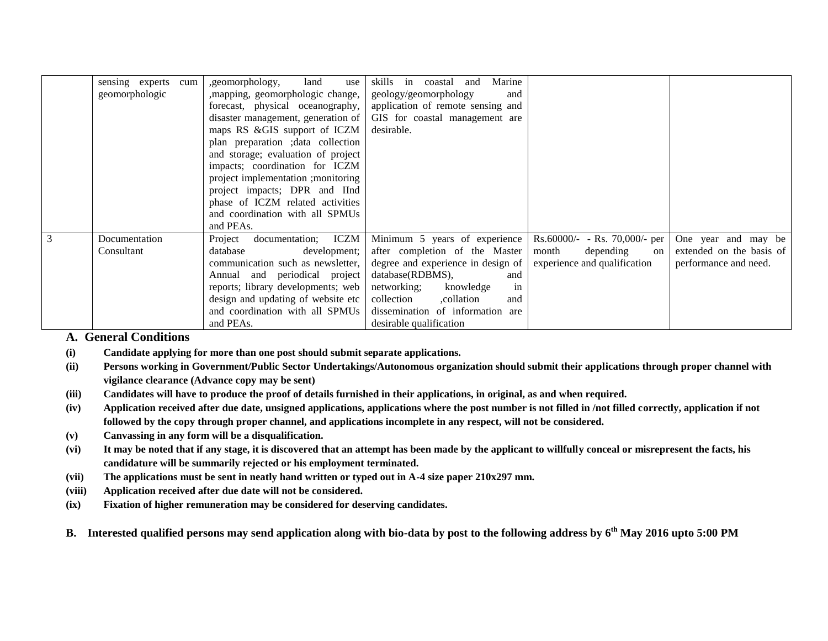|               | sensing experts<br>cum<br>geomorphologic | , geomorphology,<br>land<br>use<br>, mapping, geomorphologic change,<br>forecast, physical oceanography,<br>disaster management, generation of<br>maps RS &GIS support of ICZM<br>plan preparation ; data collection<br>and storage; evaluation of project<br>impacts; coordination for ICZM<br>project implementation ; monitoring<br>project impacts; DPR and IInd<br>phase of ICZM related activities<br>and coordination with all SPMUs<br>and PEAs. | Marine<br>skills in coastal and<br>geology/geomorphology<br>and<br>application of remote sensing and<br>GIS for coastal management are<br>desirable.                                                                                                                                                  |                                                             |                                                                          |
|---------------|------------------------------------------|----------------------------------------------------------------------------------------------------------------------------------------------------------------------------------------------------------------------------------------------------------------------------------------------------------------------------------------------------------------------------------------------------------------------------------------------------------|-------------------------------------------------------------------------------------------------------------------------------------------------------------------------------------------------------------------------------------------------------------------------------------------------------|-------------------------------------------------------------|--------------------------------------------------------------------------|
| $\mathcal{R}$ | Documentation<br>Consultant              | documentation; ICZM<br>Project<br>database<br>development;<br>communication such as newsletter,<br>Annual and periodical project<br>reports; library developments; web<br>design and updating of website etc<br>and coordination with all SPMUs<br>and PEAs.                                                                                                                                                                                             | Minimum 5 years of experience<br>after completion of the Master<br>degree and experience in design of $\vert$ experience and qualification<br>database(RDBMS),<br>and<br>in<br>networking;<br>knowledge<br>collection collation<br>and<br>dissemination of information are<br>desirable qualification | $Rs.60000/- - Rs. 70,000/-$ per<br>month<br>depending<br>on | One year and may be<br>extended on the basis of<br>performance and need. |

## **A. General Conditions**

- **(i) Candidate applying for more than one post should submit separate applications.**
- **(ii) Persons working in Government/Public Sector Undertakings/Autonomous organization should submit their applications through proper channel with vigilance clearance (Advance copy may be sent)**
- **(iii) Candidates will have to produce the proof of details furnished in their applications, in original, as and when required.**
- **(iv) Application received after due date, unsigned applications, applications where the post number is not filled in /not filled correctly, application if not followed by the copy through proper channel, and applications incomplete in any respect, will not be considered.**
- **(v) Canvassing in any form will be a disqualification.**
- **(vi) It may be noted that if any stage, it is discovered that an attempt has been made by the applicant to willfully conceal or misrepresent the facts, his candidature will be summarily rejected or his employment terminated.**
- **(vii) The applications must be sent in neatly hand written or typed out in A-4 size paper 210x297 mm.**
- **(viii) Application received after due date will not be considered.**
- **(ix) Fixation of higher remuneration may be considered for deserving candidates.**
- **B. Interested qualified persons may send application along with bio-data by post to the following address by 6th May 2016 upto 5:00 PM**